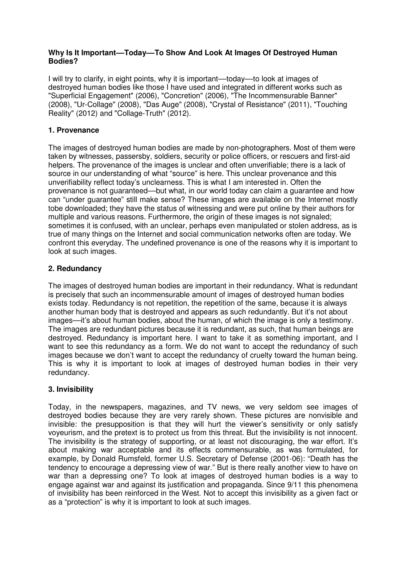### **Why Is It Important––Today––To Show And Look At Images Of Destroyed Human Bodies?**

I will try to clarify, in eight points, why it is important––today––to look at images of destroyed human bodies like those I have used and integrated in different works such as "Superficial Engagement" (2006), "Concretion" (2006), "The Incommensurable Banner" (2008), "Ur-Collage" (2008), "Das Auge" (2008), "Crystal of Resistance" (2011), "Touching Reality" (2012) and "Collage-Truth" (2012).

## **1. Provenance**

The images of destroyed human bodies are made by non-photographers. Most of them were taken by witnesses, passersby, soldiers, security or police officers, or rescuers and first-aid helpers. The provenance of the images is unclear and often unverifiable; there is a lack of source in our understanding of what "source" is here. This unclear provenance and this unverifiability reflect today's unclearness. This is what I am interested in. Often the provenance is not guaranteed––but what, in our world today can claim a guarantee and how can "under guarantee" still make sense? These images are available on the Internet mostly tobe downloaded; they have the status of witnessing and were put online by their authors for multiple and various reasons. Furthermore, the origin of these images is not signaled; sometimes it is confused, with an unclear, perhaps even manipulated or stolen address, as is true of many things on the Internet and social communication networks often are today. We confront this everyday. The undefined provenance is one of the reasons why it is important to look at such images.

### **2. Redundancy**

The images of destroyed human bodies are important in their redundancy. What is redundant is precisely that such an incommensurable amount of images of destroyed human bodies exists today. Redundancy is not repetition, the repetition of the same, because it is always another human body that is destroyed and appears as such redundantly. But it's not about images––it's about human bodies, about the human, of which the image is only a testimony. The images are redundant pictures because it is redundant, as such, that human beings are destroyed. Redundancy is important here. I want to take it as something important, and I want to see this redundancy as a form. We do not want to accept the redundancy of such images because we don't want to accept the redundancy of cruelty toward the human being. This is why it is important to look at images of destroyed human bodies in their very redundancy.

# **3. Invisibility**

Today, in the newspapers, magazines, and TV news, we very seldom see images of destroyed bodies because they are very rarely shown. These pictures are nonvisible and invisible: the presupposition is that they will hurt the viewer's sensitivity or only satisfy voyeurism, and the pretext is to protect us from this threat. But the invisibility is not innocent. The invisibility is the strategy of supporting, or at least not discouraging, the war effort. It's about making war acceptable and its effects commensurable, as was formulated, for example, by Donald Rumsfeld, former U.S. Secretary of Defense (2001-06): "Death has the tendency to encourage a depressing view of war." But is there really another view to have on war than a depressing one? To look at images of destroyed human bodies is a way to engage against war and against its justification and propaganda. Since 9/11 this phenomena of invisibility has been reinforced in the West. Not to accept this invisibility as a given fact or as a "protection" is why it is important to look at such images.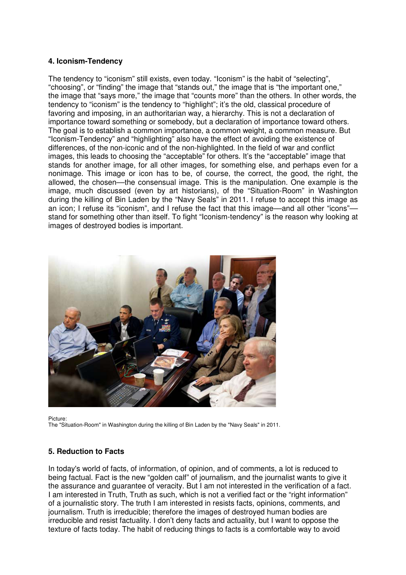### **4. Iconism-Tendency**

The tendency to "iconism" still exists, even today. "Iconism" is the habit of "selecting", "choosing", or "finding" the image that "stands out," the image that is "the important one," the image that "says more," the image that "counts more" than the others. In other words, the tendency to "iconism" is the tendency to "highlight"; it's the old, classical procedure of favoring and imposing, in an authoritarian way, a hierarchy. This is not a declaration of importance toward something or somebody, but a declaration of importance toward others. The goal is to establish a common importance, a common weight, a common measure. But "Iconism-Tendency" and "highlighting" also have the effect of avoiding the existence of differences, of the non-iconic and of the non-highlighted. In the field of war and conflict images, this leads to choosing the "acceptable" for others. It's the "acceptable" image that stands for another image, for all other images, for something else, and perhaps even for a nonimage. This image or icon has to be, of course, the correct, the good, the right, the allowed, the chosen––the consensual image. This is the manipulation. One example is the image, much discussed (even by art historians), of the "Situation-Room" in Washington during the killing of Bin Laden by the "Navy Seals" in 2011. I refuse to accept this image as an icon; I refuse its "iconism", and I refuse the fact that this image—and all other "icons" stand for something other than itself. To fight "Iconism-tendency" is the reason why looking at images of destroyed bodies is important.



Picture:

The "Situation-Room" in Washington during the killing of Bin Laden by the "Navy Seals" in 2011.

### **5. Reduction to Facts**

In today's world of facts, of information, of opinion, and of comments, a lot is reduced to being factual. Fact is the new "golden calf" of journalism, and the journalist wants to give it the assurance and guarantee of veracity. But I am not interested in the verification of a fact. I am interested in Truth, Truth as such, which is not a verified fact or the "right information" of a journalistic story. The truth I am interested in resists facts, opinions, comments, and journalism. Truth is irreducible; therefore the images of destroyed human bodies are irreducible and resist factuality. I don't deny facts and actuality, but I want to oppose the texture of facts today. The habit of reducing things to facts is a comfortable way to avoid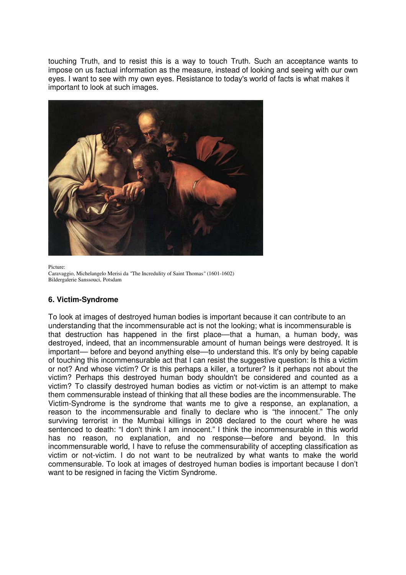touching Truth, and to resist this is a way to touch Truth. Such an acceptance wants to impose on us factual information as the measure, instead of looking and seeing with our own eyes. I want to see with my own eyes. Resistance to today's world of facts is what makes it important to look at such images.



Picture: Caravaggio, Michelangelo Merisi da *"*The Incredulity of Saint Thomas*"* (1601-1602) Bildergalerie Sanssouci, Potsdam

### **6. Victim-Syndrome**

To look at images of destroyed human bodies is important because it can contribute to an understanding that the incommensurable act is not the looking; what is incommensurable is that destruction has happened in the first place––that a human, a human body, was destroyed, indeed, that an incommensurable amount of human beings were destroyed. It is important–– before and beyond anything else––to understand this. It's only by being capable of touching this incommensurable act that I can resist the suggestive question: Is this a victim or not? And whose victim? Or is this perhaps a killer, a torturer? Is it perhaps not about the victim? Perhaps this destroyed human body shouldn't be considered and counted as a victim? To classify destroyed human bodies as victim or not-victim is an attempt to make them commensurable instead of thinking that all these bodies are the incommensurable. The Victim-Syndrome is the syndrome that wants me to give a response, an explanation, a reason to the incommensurable and finally to declare who is "the innocent." The only surviving terrorist in the Mumbai killings in 2008 declared to the court where he was sentenced to death: "I don't think I am innocent." I think the incommensurable in this world has no reason, no explanation, and no response—before and beyond. In this incommensurable world, I have to refuse the commensurability of accepting classification as victim or not-victim. I do not want to be neutralized by what wants to make the world commensurable. To look at images of destroyed human bodies is important because I don't want to be resigned in facing the Victim Syndrome.